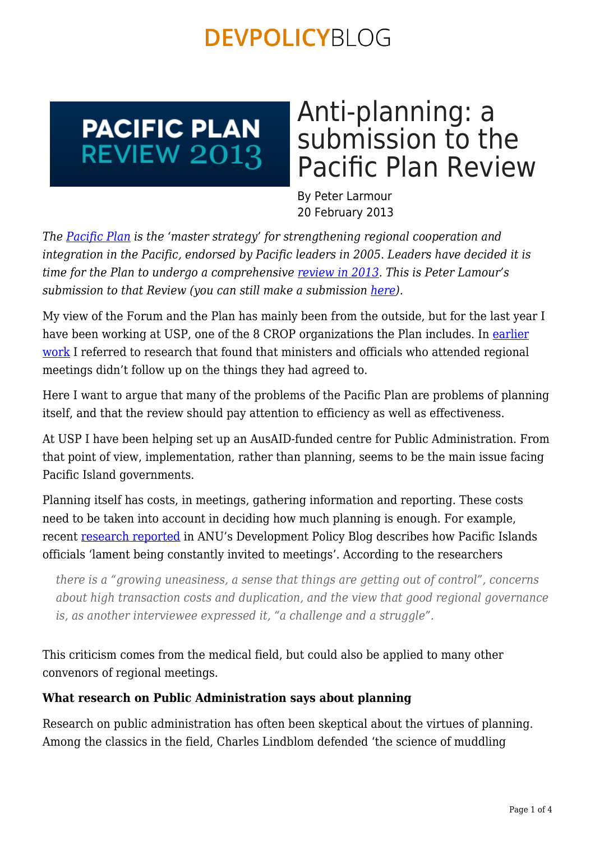### **PACIFIC PLAN REVIEW 2013**

# Anti-planning: a submission to the Pacific Plan Review

By Peter Larmour 20 February 2013

*The [Pacific Plan](http://www.forumsec.org/pages.cfm/strategic-partnerships-coordination/pacific-plan/) is the 'master strategy' for strengthening regional cooperation and integration in the Pacific, endorsed by Pacific leaders in 2005. Leaders have decided it is time for the Plan to undergo a comprehensive [review in 2013](http://www.pacificplanreview.org/index.cfm). This is Peter Lamour's submission to that Review (you can still make a submission [here\)](http://www.pacificplanreview.org/submissions/).*

My view of the Forum and the Plan has mainly been from the outside, but for the last year I have been working at USP, one of the 8 CROP organizations the Plan includes. In [earlier](http://www.amazon.com/Foreign-Flowers-Institutional-Governance-East-West/dp/0824829336) [work](http://www.amazon.com/Foreign-Flowers-Institutional-Governance-East-West/dp/0824829336) I referred to research that found that ministers and officials who attended regional meetings didn't follow up on the things they had agreed to.

Here I want to argue that many of the problems of the Pacific Plan are problems of planning itself, and that the review should pay attention to efficiency as well as effectiveness.

At USP I have been helping set up an AusAID-funded centre for Public Administration. From that point of view, implementation, rather than planning, seems to be the main issue facing Pacific Island governments.

Planning itself has costs, in meetings, gathering information and reporting. These costs need to be taken into account in deciding how much planning is enough. For example, recent [research reported](https://devpolicy.org/so-many-meetings-so-little-impact/) in ANU's Development Policy Blog describes how Pacific Islands officials 'lament being constantly invited to meetings'. According to the researchers

*there is a "growing uneasiness, a sense that things are getting out of control", concerns about high transaction costs and duplication, and the view that good regional governance is, as another interviewee expressed it, "a challenge and a struggle".*

This criticism comes from the medical field, but could also be applied to many other convenors of regional meetings.

### **What research on Public Administration says about planning**

Research on public administration has often been skeptical about the virtues of planning. Among the classics in the field, Charles Lindblom defended 'the science of muddling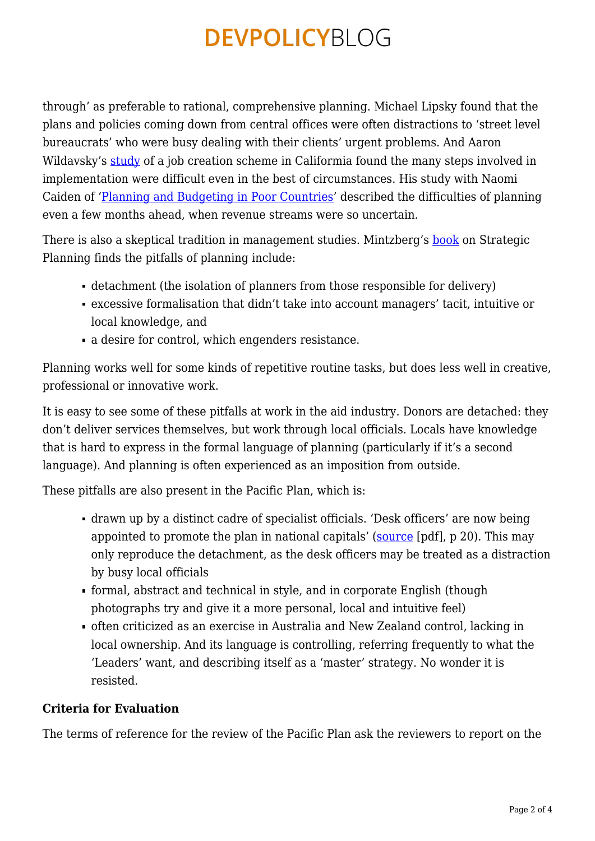through' as preferable to rational, comprehensive planning. Michael Lipsky found that the plans and policies coming down from central offices were often distractions to 'street level bureaucrats' who were busy dealing with their clients' urgent problems. And Aaron Wildavsky's [study](http://books.google.com.au/books/about/Classics_of_public_administration.html?id=17NPAAAAMAAJ&redir_esc=y) of a job creation scheme in Califormia found the many steps involved in implementation were difficult even in the best of circumstances. His study with Naomi Caiden of '[Planning and Budgeting in Poor Countries'](http://www.amazon.com/Planning-Budgeting-Countries-Naomi-Caiden/dp/0878557075) described the difficulties of planning even a few months ahead, when revenue streams were so uncertain.

There is also a skeptical tradition in management studies. Mintzberg's [book](http://www.amazon.com/Rise-Strategic-Planning-Henry-Mintzberg/dp/0029216052) on Strategic Planning finds the pitfalls of planning include:

- detachment (the isolation of planners from those responsible for delivery)
- excessive formalisation that didn't take into account managers' tacit, intuitive or local knowledge, and
- a desire for control, which engenders resistance.

Planning works well for some kinds of repetitive routine tasks, but does less well in creative, professional or innovative work.

It is easy to see some of these pitfalls at work in the aid industry. Donors are detached: they don't deliver services themselves, but work through local officials. Locals have knowledge that is hard to express in the formal language of planning (particularly if it's a second language). And planning is often experienced as an imposition from outside.

These pitfalls are also present in the Pacific Plan, which is:

- drawn up by a distinct cadre of specialist officials. 'Desk officers' are now being appointed to promote the plan in national capitals' [\(source](http://www.forumsec.org/resources/uploads/attachments/documents/Pacific%20Plan%202012%20Eng.pdf) [pdf], p 20). This may only reproduce the detachment, as the desk officers may be treated as a distraction by busy local officials
- formal, abstract and technical in style, and in corporate English (though photographs try and give it a more personal, local and intuitive feel)
- often criticized as an exercise in Australia and New Zealand control, lacking in local ownership. And its language is controlling, referring frequently to what the 'Leaders' want, and describing itself as a 'master' strategy. No wonder it is resisted.

### **Criteria for Evaluation**

The terms of reference for the review of the Pacific Plan ask the reviewers to report on the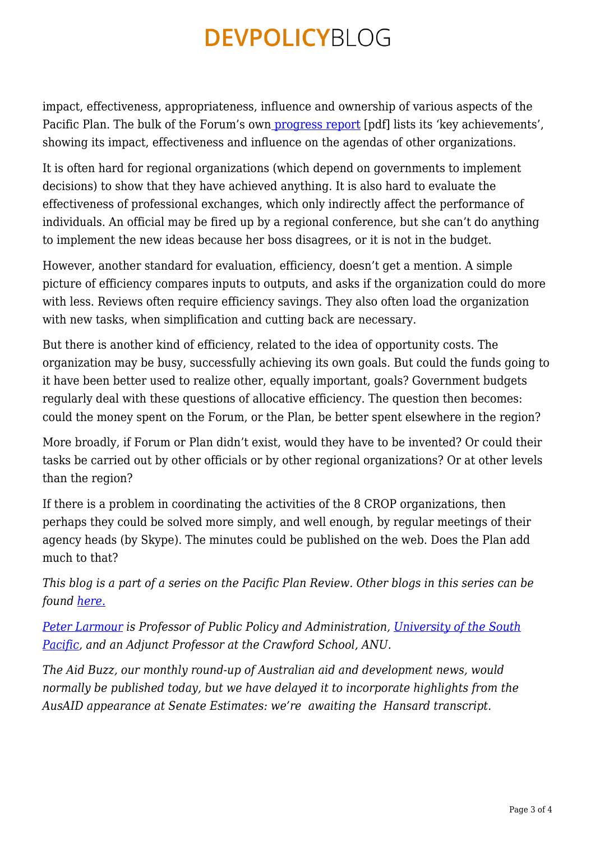impact, effectiveness, appropriateness, influence and ownership of various aspects of the Pacific Plan. The bulk of the Forum's ow[n progress report](http://www.forumsec.org/resources/uploads/attachments/documents/Pacific%20Plan%202012%20Eng.pdf) [pdf] lists its 'key achievements', showing its impact, effectiveness and influence on the agendas of other organizations.

It is often hard for regional organizations (which depend on governments to implement decisions) to show that they have achieved anything. It is also hard to evaluate the effectiveness of professional exchanges, which only indirectly affect the performance of individuals. An official may be fired up by a regional conference, but she can't do anything to implement the new ideas because her boss disagrees, or it is not in the budget.

However, another standard for evaluation, efficiency, doesn't get a mention. A simple picture of efficiency compares inputs to outputs, and asks if the organization could do more with less. Reviews often require efficiency savings. They also often load the organization with new tasks, when simplification and cutting back are necessary.

But there is another kind of efficiency, related to the idea of opportunity costs. The organization may be busy, successfully achieving its own goals. But could the funds going to it have been better used to realize other, equally important, goals? Government budgets regularly deal with these questions of allocative efficiency. The question then becomes: could the money spent on the Forum, or the Plan, be better spent elsewhere in the region?

More broadly, if Forum or Plan didn't exist, would they have to be invented? Or could their tasks be carried out by other officials or by other regional organizations? Or at other levels than the region?

If there is a problem in coordinating the activities of the 8 CROP organizations, then perhaps they could be solved more simply, and well enough, by regular meetings of their agency heads (by Skype). The minutes could be published on the web. Does the Plan add much to that?

*This blog is a part of a series on the Pacific Plan Review. Other blogs in this series can be found [here.](https://devpolicy.org/tag/pacific-plan-review-2013/)*

*[Peter Larmour](http://crawford.anu.edu.au/crawford_people/content/staff/plarmour.php) is Professor of Public Policy and Administration, [University of the South](http://www.usp.ac.fj/) [Pacific](http://www.usp.ac.fj/), and an Adjunct Professor at the Crawford School, ANU.*

*The Aid Buzz, our monthly round-up of Australian aid and development news, would normally be published today, but we have delayed it to incorporate highlights from the AusAID appearance at Senate Estimates: we're awaiting the Hansard transcript.*